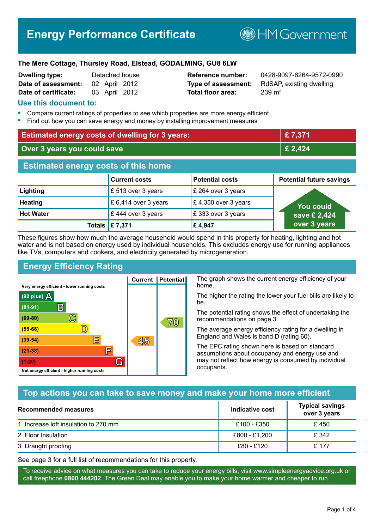# **Energy Performance Certificate**

**BHM Government** 

#### **The Mere Cottage, Thursley Road, Elstead, GODALMING, GU8 6LW**

| <b>Dwelling type:</b> |               | Detached house |
|-----------------------|---------------|----------------|
| Date of assessment:   |               | 02 April 2012  |
| Date of certificate:  | 03 April 2012 |                |

# **Total floor area:** 239 m<sup>2</sup>

**Reference number:** 0428-9097-6264-9572-0990 **Type of assessment:** RdSAP, existing dwelling

# **Use this document to:**

- **•** Compare current ratings of properties to see which properties are more energy efficient
- **•** Find out how you can save energy and money by installing improvement measures

| <b>Estimated energy costs of dwelling for 3 years:</b> |                      |                        | £7,371                          |  |
|--------------------------------------------------------|----------------------|------------------------|---------------------------------|--|
| Over 3 years you could save                            |                      | £ 2,424                |                                 |  |
| <b>Estimated energy costs of this home</b>             |                      |                        |                                 |  |
|                                                        | <b>Current costs</b> | <b>Potential costs</b> | <b>Potential future savings</b> |  |
| Lighting                                               | £ 513 over 3 years   | £ 264 over 3 years     |                                 |  |
| <b>Heating</b>                                         | £ 6,414 over 3 years | £4,350 over 3 years    | <b>You could</b>                |  |
| <b>Hot Water</b>                                       | £444 over 3 years    | £333 over 3 years      | save £ 2,424                    |  |
| Totals                                                 | £7,371               | £4,947                 | over 3 years                    |  |

These figures show how much the average household would spend in this property for heating, lighting and hot water and is not based on energy used by individual households. This excludes energy use for running appliances like TVs, computers and cookers, and electricity generated by microgeneration.

**Current | Potential** 

45

# **Energy Efficiency Rating**

 $\mathbb{C}$ 

 $\mathbb{D}$ 

巨

庐

G

Very energy efficient - lower running costs

R

Not energy efficient - higher running costs

(92 plus)  $\Delta$ 

 $(81 - 91)$ 

 $(69 - 80)$ 

 $(55-68)$ 

 $(39 - 54)$ 

 $(21-38)$ 

 $(1-20)$ 

The graph shows the current energy efficiency of your home.

The higher the rating the lower your fuel bills are likely to be.

The potential rating shows the effect of undertaking the recommendations on page 3.

The average energy efficiency rating for a dwelling in England and Wales is band D (rating 60).

The EPC rating shown here is based on standard assumptions about occupancy and energy use and may not reflect how energy is consumed by individual occupants.

# **Top actions you can take to save money and make your home more efficient**

 $\overline{70}$ 

| Recommended measures                 | Indicative cost | <b>Typical savings</b><br>over 3 years |
|--------------------------------------|-----------------|----------------------------------------|
| 1 Increase loft insulation to 270 mm | £100 - £350     | £450                                   |
| 2 Floor Insulation                   | £800 - £1,200   | £ 342                                  |
| 3 Draught proofing                   | £80 - £120      | £ 177                                  |

See page 3 for a full list of recommendations for this property.

To receive advice on what measures you can take to reduce your energy bills, visit www.simpleenergyadvice.org.uk or call freephone **0800 444202**. The Green Deal may enable you to make your home warmer and cheaper to run.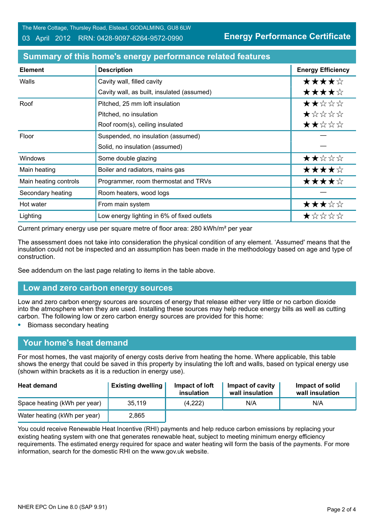The Mere Cottage, Thursley Road, Elstead, GODALMING, GU8 6LW

03 April 2012 RRN: 0428-9097-6264-9572-0990

**Energy Performance Certificate**

| <b>Element</b>        | <b>Description</b>                         | <b>Energy Efficiency</b> |
|-----------------------|--------------------------------------------|--------------------------|
| Walls                 | Cavity wall, filled cavity                 | ★★★★☆                    |
|                       | Cavity wall, as built, insulated (assumed) | ★★★★☆                    |
| Roof                  | Pitched, 25 mm loft insulation             | ★★☆☆☆                    |
|                       | Pitched, no insulation                     | *****                    |
|                       | Roof room(s), ceiling insulated            | ★★☆☆☆                    |
| Floor                 | Suspended, no insulation (assumed)         |                          |
|                       | Solid, no insulation (assumed)             |                          |
| Windows               | Some double glazing                        | ★★☆☆☆                    |
| Main heating          | Boiler and radiators, mains gas            | ★★★★☆                    |
| Main heating controls | Programmer, room thermostat and TRVs       | ★★★★☆                    |
| Secondary heating     | Room heaters, wood logs                    |                          |
| Hot water             | From main system                           | ★★★☆☆                    |
| Lighting              | Low energy lighting in 6% of fixed outlets | *****                    |

# **Summary of this home's energy performance related features**

Current primary energy use per square metre of floor area: 280 kWh/m² per year

The assessment does not take into consideration the physical condition of any element. 'Assumed' means that the insulation could not be inspected and an assumption has been made in the methodology based on age and type of construction.

See addendum on the last page relating to items in the table above.

## **Low and zero carbon energy sources**

Low and zero carbon energy sources are sources of energy that release either very little or no carbon dioxide into the atmosphere when they are used. Installing these sources may help reduce energy bills as well as cutting carbon. The following low or zero carbon energy sources are provided for this home:

**•** Biomass secondary heating

# **Your home's heat demand**

For most homes, the vast majority of energy costs derive from heating the home. Where applicable, this table shows the energy that could be saved in this property by insulating the loft and walls, based on typical energy use (shown within brackets as it is a reduction in energy use).

| <b>Heat demand</b>           | <b>Existing dwelling</b> | Impact of loft<br>insulation | Impact of cavity<br>wall insulation | Impact of solid<br>wall insulation |
|------------------------------|--------------------------|------------------------------|-------------------------------------|------------------------------------|
| Space heating (kWh per year) | 35,119                   | (4,222)                      | N/A                                 | N/A                                |
| Water heating (kWh per year) | 2,865                    |                              |                                     |                                    |

You could receive Renewable Heat Incentive (RHI) payments and help reduce carbon emissions by replacing your existing heating system with one that generates renewable heat, subject to meeting minimum energy efficiency requirements. The estimated energy required for space and water heating will form the basis of the payments. For more information, search for the domestic RHI on the www.gov.uk website.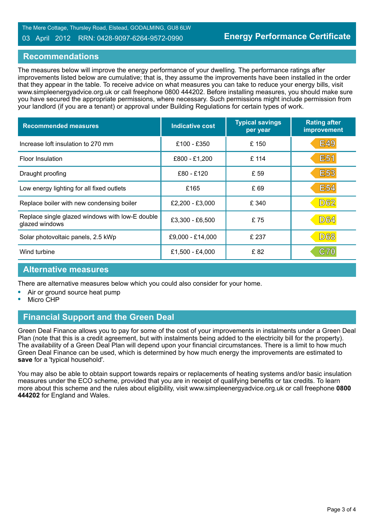#### 03 April 2012 RRN: 0428-9097-6264-9572-0990

## **Recommendations**

The measures below will improve the energy performance of your dwelling. The performance ratings after improvements listed below are cumulative; that is, they assume the improvements have been installed in the order that they appear in the table. To receive advice on what measures you can take to reduce your energy bills, visit www.simpleenergyadvice.org.uk or call freephone 0800 444202. Before installing measures, you should make sure you have secured the appropriate permissions, where necessary. Such permissions might include permission from your landlord (if you are a tenant) or approval under Building Regulations for certain types of work.

| <b>Recommended measures</b>                                       | <b>Indicative cost</b> | <b>Typical savings</b><br>per year | <b>Rating after</b><br>improvement |
|-------------------------------------------------------------------|------------------------|------------------------------------|------------------------------------|
| Increase loft insulation to 270 mm                                | £100 - £350            | £150                               | <b>E49</b>                         |
| Floor Insulation                                                  | £800 - £1,200          | £ 114                              | E <sub>51</sub>                    |
| Draught proofing                                                  | £80 - £120             | £ 59                               | <b>E53</b>                         |
| Low energy lighting for all fixed outlets                         | £165                   | £ 69                               | <b>E54</b>                         |
| Replace boiler with new condensing boiler                         | £2,200 - £3,000        | £ 340                              | <b>D62</b>                         |
| Replace single glazed windows with low-E double<br>glazed windows | £3,300 - £6,500        | £75                                | <b>D64</b>                         |
| Solar photovoltaic panels, 2.5 kWp                                | £9,000 - £14,000       | £ 237                              | <b>D68</b>                         |
| Wind turbine                                                      | £1,500 - £4,000        | £82                                | C70                                |

#### **Alternative measures**

There are alternative measures below which you could also consider for your home.

- **•** Air or ground source heat pump
- **•** Micro CHP

# **Financial Support and the Green Deal**

Green Deal Finance allows you to pay for some of the cost of your improvements in instalments under a Green Deal Plan (note that this is a credit agreement, but with instalments being added to the electricity bill for the property). The availability of a Green Deal Plan will depend upon your financial circumstances. There is a limit to how much Green Deal Finance can be used, which is determined by how much energy the improvements are estimated to **save** for a 'typical household'.

You may also be able to obtain support towards repairs or replacements of heating systems and/or basic insulation measures under the ECO scheme, provided that you are in receipt of qualifying benefits or tax credits. To learn more about this scheme and the rules about eligibility, visit www.simpleenergyadvice.org.uk or call freephone **0800 444202** for England and Wales.